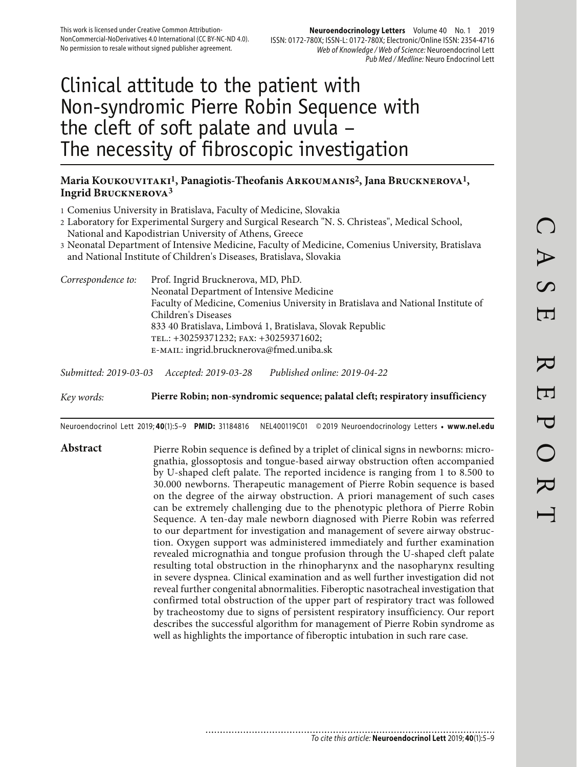# Clinical attitude to the patient with Non-syndromic Pierre Robin Sequence with the cleft of soft palate and uvula – The necessity of fibroscopic investigation

#### **Maria Koukouvitaki1, Panagiotis-Theofanis Arkoumanis2, Jana Brucknerova1, Ingrid Brucknerova3**

- 1 Comenius University in Bratislava, Faculty of Medicine, Slovakia
- 2 Laboratory for Experimental Surgery and Surgical Research "N. S. Christeas", Medical School, National and Kapodistrian University of Athens, Greece
- 3 Neonatal Department of Intensive Medicine, Faculty of Medicine, Comenius University, Bratislava and National Institute of Children's Diseases, Bratislava, Slovakia
- *Correspondence to:* Prof. Ingrid Brucknerova, MD, PhD. Neonatal Department of Intensive Medicine Faculty of Medicine, Comenius University in Bratislava and National Institute of Children's Diseases 833 40 Bratislava, Limbová 1, Bratislava, Slovak Republic tel.: +30259371232; fax: +30259371602; e-mail: ingrid.brucknerova@fmed.uniba.sk

*Submitted: 2019-03-03 Accepted: 2019-03-28 Published online: 2019-04-22*

*Key words:* **Pierre Robin; non-syndromic sequence; palatal cleft; respiratory insufficiency** 

Neuroendocrinol Lett 2019; **40**(1):5–9 **PMID:** 31184816 NEL400119C01 © 2019 Neuroendocrinology Letters • **www.nel.edu**

Abstract Pierre Robin sequence is defined by a triplet of clinical signs in newborns: micrognathia, glossoptosis and tongue-based airway obstruction often accompanied by U-shaped cleft palate. The reported incidence is ranging from 1 to 8.500 to 30.000 newborns. Therapeutic management of Pierre Robin sequence is based on the degree of the airway obstruction. A priori management of such cases can be extremely challenging due to the phenotypic plethora of Pierre Robin Sequence. A ten-day male newborn diagnosed with Pierre Robin was referred to our department for investigation and management of severe airway obstruction. Oxygen support was administered immediately and further examination revealed micrognathia and tongue profusion through the U-shaped cleft palate resulting total obstruction in the rhinopharynx and the nasopharynx resulting in severe dyspnea. Clinical examination and as well further investigation did not reveal further congenital abnormalities. Fiberoptic nasotracheal investigation that confirmed total obstruction of the upper part of respiratory tract was followed by tracheostomy due to signs of persistent respiratory insufficiency. Our report describes the successful algorithm for management of Pierre Robin syndrome as well as highlights the importance of fiberoptic intubation in such rare case.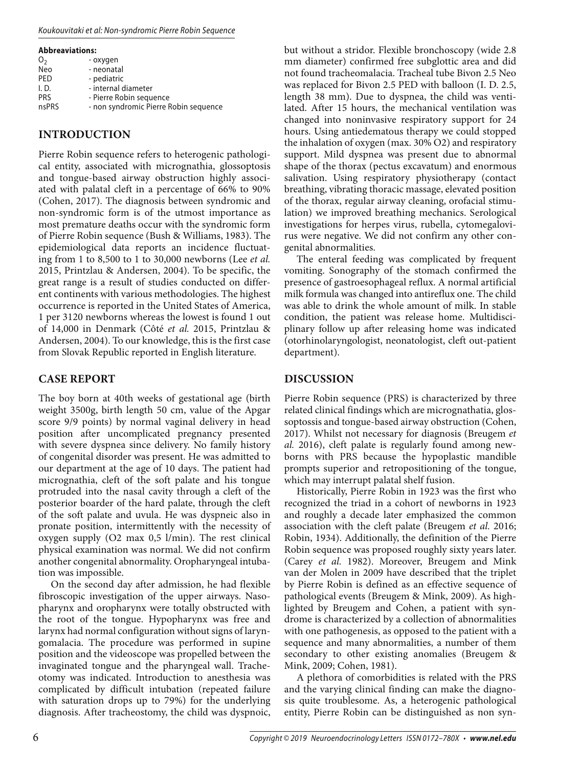#### Koukouvitaki et al: Non-syndromic Pierre Robin Sequence

**Abbreaviations:**

| O <sub>2</sub> | - oxygen                              |
|----------------|---------------------------------------|
| Neo            | - neonatal                            |
| PED            | - pediatric                           |
| I. D.          | - internal diameter                   |
| <b>PRS</b>     | - Pierre Robin sequence               |
| nsPRS          | - non syndromic Pierre Robin sequence |
|                |                                       |

#### **INTRODUCTION**

Pierre Robin sequence refers to heterogenic pathological entity, associated with micrognathia, glossoptosis and tongue-based airway obstruction highly associated with palatal cleft in a percentage of 66% to 90% (Cohen, 2017). The diagnosis between syndromic and non-syndromic form is of the utmost importance as most premature deaths occur with the syndromic form of Pierre Robin sequence (Bush & Williams, 1983). The epidemiological data reports an incidence fluctuating from 1 to 8,500 to 1 to 30,000 newborns (Lee *et al.* 2015, Printzlau & Andersen, 2004). To be specific, the great range is a result of studies conducted on different continents with various methodologies. The highest occurrence is reported in the United States of America, 1 per 3120 newborns whereas the lowest is found 1 out of 14,000 in Denmark (Côté *et al.* 2015, Printzlau & Andersen, 2004). To our knowledge, this is the first case from Slovak Republic reported in English literature.

## **CASE REPORT**

The boy born at 40th weeks of gestational age (birth weight 3500g, birth length 50 cm, value of the Apgar score 9/9 points) by normal vaginal delivery in head position after uncomplicated pregnancy presented with severe dyspnea since delivery. No family history of congenital disorder was present. He was admitted to our department at the age of 10 days. The patient had micrognathia, cleft of the soft palate and his tongue protruded into the nasal cavity through a cleft of the posterior boarder of the hard palate, through the cleft of the soft palate and uvula. He was dyspneic also in pronate position, intermittently with the necessity of oxygen supply (O2 max 0,5 l/min). The rest clinical physical examination was normal. We did not confirm another congenital abnormality. Oropharyngeal intubation was impossible.

On the second day after admission, he had flexible fibroscopic investigation of the upper airways. Nasopharynx and oropharynx were totally obstructed with the root of the tongue. Hypopharynx was free and larynx had normal configuration without signs of laryngomalacia. The procedure was performed in supine position and the videoscope was propelled between the invaginated tongue and the pharyngeal wall. Tracheotomy was indicated. Introduction to anesthesia was complicated by difficult intubation (repeated failure with saturation drops up to 79%) for the underlying diagnosis. After tracheostomy, the child was dyspnoic,

but without a stridor. Flexible bronchoscopy (wide 2.8 mm diameter) confirmed free subglottic area and did not found tracheomalacia. Tracheal tube Bivon 2.5 Neo was replaced for Bivon 2.5 PED with balloon (I. D. 2.5, length 38 mm). Due to dyspnea, the child was ventilated. After 15 hours, the mechanical ventilation was changed into noninvasive respiratory support for 24 hours. Using antiedematous therapy we could stopped the inhalation of oxygen (max. 30% O2) and respiratory support. Mild dyspnea was present due to abnormal shape of the thorax (pectus excavatum) and enormous salivation. Using respiratory physiotherapy (contact breathing, vibrating thoracic massage, elevated position of the thorax, regular airway cleaning, orofacial stimulation) we improved breathing mechanics. Serological investigations for herpes virus, rubella, cytomegalovirus were negative. We did not confirm any other congenital abnormalities.

The enteral feeding was complicated by frequent vomiting. Sonography of the stomach confirmed the presence of gastroesophageal reflux. A normal artificial milk formula was changed into antireflux one. The child was able to drink the whole amount of milk. In stable condition, the patient was release home. Multidisciplinary follow up after releasing home was indicated (otorhinolaryngologist, neonatologist, cleft out-patient department).

### **DISCUSSION**

Pierre Robin sequence (PRS) is characterized by three related clinical findings which are micrognathatia, glossoptossis and tongue-based airway obstruction (Cohen, 2017). Whilst not necessary for diagnosis (Breugem *et al.* 2016), cleft palate is regularly found among newborns with PRS because the hypoplastic mandible prompts superior and retropositioning of the tongue, which may interrupt palatal shelf fusion.

Historically, Pierre Robin in 1923 was the first who recognized the triad in a cohort of newborns in 1923 and roughly a decade later emphasized the common association with the cleft palate (Breugem *et al.* 2016; Robin, 1934). Additionally, the definition of the Pierre Robin sequence was proposed roughly sixty years later. (Carey *et al.* 1982). Moreover, Breugem and Mink van der Molen in 2009 have described that the triplet by Pierre Robin is defined as an effective sequence of pathological events (Breugem & Mink, 2009). As highlighted by Breugem and Cohen, a patient with syndrome is characterized by a collection of abnormalities with one pathogenesis, as opposed to the patient with a sequence and many abnormalities, a number of them secondary to other existing anomalies (Breugem & Mink, 2009; Cohen, 1981).

A plethora of comorbidities is related with the PRS and the varying clinical finding can make the diagnosis quite troublesome. As, a heterogenic pathological entity, Pierre Robin can be distinguished as non syn-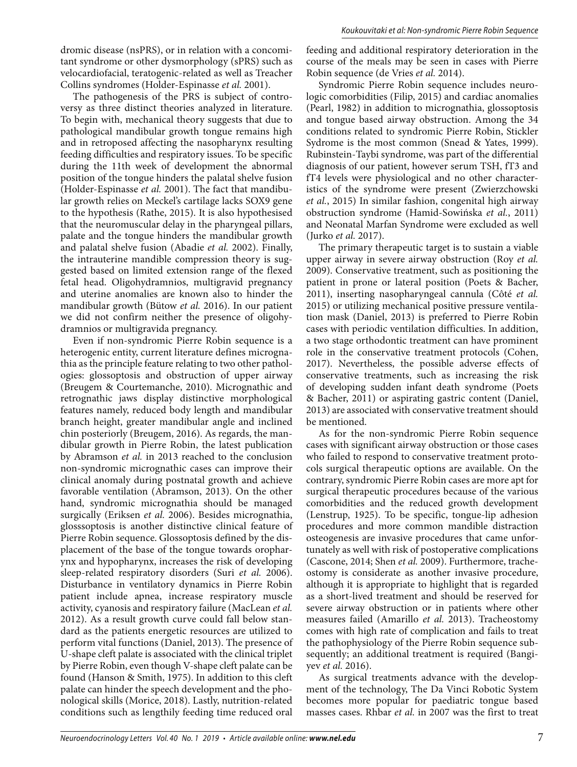dromic disease (nsPRS), or in relation with a concomitant syndrome or other dysmorphology (sPRS) such as velocardiofacial, teratogenic-related as well as Treacher Collins syndromes (Holder-Espinasse *et al.* 2001).

The pathogenesis of the PRS is subject of controversy as three distinct theories analyzed in literature. To begin with, mechanical theory suggests that due to pathological mandibular growth tongue remains high and in retroposed affecting the nasopharynx resulting feeding difficulties and respiratory issues. To be specific during the 11th week of development the abnormal position of the tongue hinders the palatal shelve fusion (Holder-Espinasse *et al.* 2001). The fact that mandibular growth relies on Meckel's cartilage lacks SOX9 gene to the hypothesis (Rathe, 2015). It is also hypothesised that the neuromuscular delay in the pharyngeal pillars, palate and the tongue hinders the mandibular growth and palatal shelve fusion (Abadie *et al.* 2002). Finally, the intrauterine mandible compression theory is suggested based on limited extension range of the flexed fetal head. Oligohydramnios, multigravid pregnancy and uterine anomalies are known also to hinder the mandibular growth (Bütow *et al.* 2016). In our patient we did not confirm neither the presence of oligohydramnios or multigravida pregnancy.

Even if non-syndromic Pierre Robin sequence is a heterogenic entity, current literature defines micrognathia as the principle feature relating to two other pathologies: glossoptosis and obstruction of upper airway (Breugem & Courtemanche, 2010). Micrognathic and retrognathic jaws display distinctive morphological features namely, reduced body length and mandibular branch height, greater mandibular angle and inclined chin posteriorly (Breugem, 2016). As regards, the mandibular growth in Pierre Robin, the latest publication by Abramson *et al.* in 2013 reached to the conclusion non-syndromic micrognathic cases can improve their clinical anomaly during postnatal growth and achieve favorable ventilation (Abramson, 2013). On the other hand, syndromic micrognathia should be managed surgically (Eriksen *et al.* 2006). Besides micrognathia, glosssoptosis is another distinctive clinical feature of Pierre Robin sequence. Glossoptosis defined by the displacement of the base of the tongue towards oropharynx and hypopharynx, increases the risk of developing sleep-related respiratory disorders (Suri *et al.* 2006). Disturbance in ventilatory dynamics in Pierre Robin patient include apnea, increase respiratory muscle activity, cyanosis and respiratory failure (MacLean *et al.* 2012). As a result growth curve could fall below standard as the patients energetic resources are utilized to perform vital functions (Daniel, 2013). The presence of U-shape cleft palate is associated with the clinical triplet by Pierre Robin, even though V-shape cleft palate can be found (Hanson & Smith, 1975). In addition to this cleft palate can hinder the speech development and the phonological skills (Morice, 2018). Lastly, nutrition-related conditions such as lengthily feeding time reduced oral

feeding and additional respiratory deterioration in the course of the meals may be seen in cases with Pierre Robin sequence (de Vries *et al.* 2014).

Syndromic Pierre Robin sequence includes neurologic comorbidities (Filip, 2015) and cardiac anomalies (Pearl, 1982) in addition to micrognathia, glossoptosis and tongue based airway obstruction. Among the 34 conditions related to syndromic Pierre Robin, Stickler Sydrome is the most common (Snead & Yates, 1999). Rubinstein-Taybi syndrome, was part of the differential diagnosis of our patient, however serum TSH, fT3 and fT4 levels were physiological and no other characteristics of the syndrome were present (Zwierzchowski *et al.*, 2015) In similar fashion, congenital high airway obstruction syndrome (Hamid-Sowińska *et al.*, 2011) and Neonatal Marfan Syndrome were excluded as well (Jurko *et al.* 2017).

The primary therapeutic target is to sustain a viable upper airway in severe airway obstruction (Roy *et al.* 2009). Conservative treatment, such as positioning the patient in prone or lateral position (Poets & Bacher, 2011), inserting nasopharyngeal cannula (Côté *et al.* 2015) or utilizing mechanical positive pressure ventilation mask (Daniel, 2013) is preferred to Pierre Robin cases with periodic ventilation difficulties. In addition, a two stage orthodontic treatment can have prominent role in the conservative treatment protocols (Cohen, 2017). Nevertheless, the possible adverse effects of conservative treatments, such as increasing the risk of developing sudden infant death syndrome (Poets & Bacher, 2011) or aspirating gastric content (Daniel, 2013) are associated with conservative treatment should be mentioned.

As for the non-syndromic Pierre Robin sequence cases with significant airway obstruction or those cases who failed to respond to conservative treatment protocols surgical therapeutic options are available. On the contrary, syndromic Pierre Robin cases are more apt for surgical therapeutic procedures because of the various comorbidities and the reduced growth development (Lenstrup, 1925). To be specific, tongue-lip adhesion procedures and more common mandible distraction osteogenesis are invasive procedures that came unfortunately as well with risk of postoperative complications (Cascone, 2014; Shen *et al.* 2009). Furthermore, tracheostomy is considerate as another invasive procedure, although it is appropriate to highlight that is regarded as a short-lived treatment and should be reserved for severe airway obstruction or in patients where other measures failed (Amarillo *et al.* 2013). Tracheostomy comes with high rate of complication and fails to treat the pathophysiology of the Pierre Robin sequence subsequently; an additional treatment is required (Bangiyev *et al.* 2016).

As surgical treatments advance with the development of the technology, The Da Vinci Robotic System becomes more popular for paediatric tongue based masses cases. Rhbar *et al.* in 2007 was the first to treat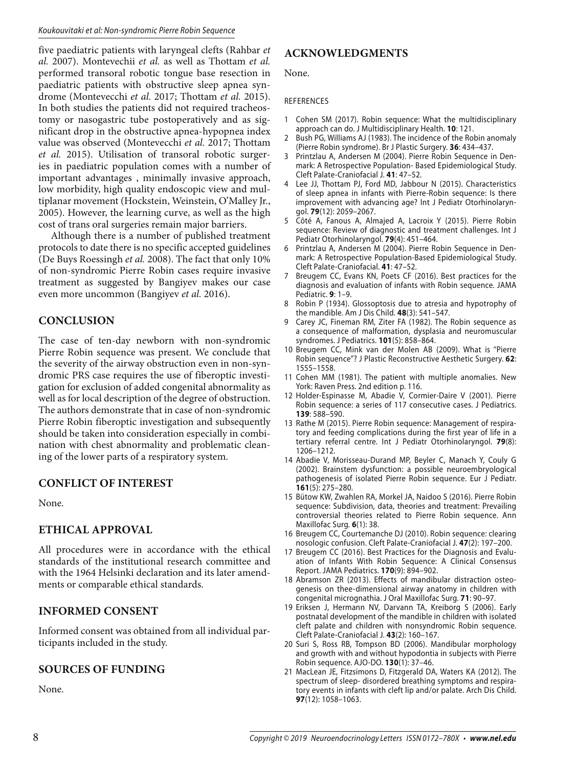five paediatric patients with laryngeal clefts (Rahbar *et al.* 2007). Montevechii *et al.* as well as Thottam *et al.* performed transoral robotic tongue base resection in paediatric patients with obstructive sleep apnea syndrome (Montevecchi *et al.* 2017; Thottam *et al.* 2015). In both studies the patients did not required tracheostomy or nasogastric tube postoperatively and as significant drop in the obstructive apnea-hypopnea index value was observed (Montevecchi *et al.* 2017; Thottam *et al.* 2015). Utilisation of transoral robotic surgeries in paediatric population comes with a number of important advantages , minimally invasive approach, low morbidity, high quality endoscopic view and multiplanar movement (Hockstein, Weinstein, O'Malley Jr., 2005). However, the learning curve, as well as the high cost of trans oral surgeries remain major barriers.

Although there is a number of published treatment protocols to date there is no specific accepted guidelines (De Buys Roessingh *et al.* 2008). The fact that only 10% of non-syndromic Pierre Robin cases require invasive treatment as suggested by Bangiyev makes our case even more uncommon (Bangiyev *et al.* 2016).

## **CONCLUSION**

The case of ten-day newborn with non-syndromic Pierre Robin sequence was present. We conclude that the severity of the airway obstruction even in non-syndromic PRS case requires the use of fiberoptic investigation for exclusion of added congenital abnormality as well as for local description of the degree of obstruction. The authors demonstrate that in case of non-syndromic Pierre Robin fiberoptic investigation and subsequently should be taken into consideration especially in combination with chest abnormality and problematic cleaning of the lower parts of a respiratory system.

#### **CONFLICT OF INTEREST**

None.

# **ETHICAL APPROVAL**

All procedures were in accordance with the ethical standards of the institutional research committee and with the 1964 Helsinki declaration and its later amendments or comparable ethical standards.

#### **INFORMED CONSENT**

Informed consent was obtained from all individual participants included in the study.

#### **SOURCES OF FUNDING**

None.

# **ACKNOWLEDGMENTS**

None.

#### REFERENCES

- 1 Cohen SM (2017). Robin sequence: What the multidisciplinary approach can do. J Multidisciplinary Health. **10**: 121.
- Bush PG, Williams AJ (1983). The incidence of the Robin anomaly (Pierre Robin syndrome). Br J Plastic Surgery. **36**: 434–437.
- 3 Printzlau A, Andersen M (2004). Pierre Robin Sequence in Denmark: A Retrospective Population- Based Epidemiological Study. Cleft Palate-Craniofacial J. **41**: 47–52.
- Lee JJ, Thottam PJ, Ford MD, Jabbour N (2015). Characteristics of sleep apnea in infants with Pierre-Robin sequence: Is there improvement with advancing age? Int J Pediatr Otorhinolaryngol. **79**(12): 2059–2067.
- 5 Côté A, Fanous A, Almajed A, Lacroix Y (2015). Pierre Robin sequence: Review of diagnostic and treatment challenges. Int J Pediatr Otorhinolaryngol. **79**(4): 451–464.
- 6 Printzlau A, Andersen M (2004). Pierre Robin Sequence in Denmark: A Retrospective Population-Based Epidemiological Study. Cleft Palate-Craniofacial. **41**: 47–52.
- 7 Breugem CC, Evans KN, Poets CF (2016). Best practices for the diagnosis and evaluation of infants with Robin sequence. JAMA Pediatric. **9**: 1–9.
- 8 Robin P (1934). Glossoptosis due to atresia and hypotrophy of the mandible. Am J Dis Child. **48**(3): 541–547.
- 9 Carey JC, Fineman RM, Ziter FA (1982). The Robin sequence as a consequence of malformation, dysplasia and neuromuscular syndromes. J Pediatrics. **101**(5): 858–864.
- 10 Breugem CC, Mink van der Molen AB (2009). What is ''Pierre Robin sequence''? J Plastic Reconstructive Aesthetic Surgery. **62**: 1555–1558.
- 11 Cohen MM (1981). The patient with multiple anomalies. New York: Raven Press. 2nd edition p. 116.
- 12 Holder-Espinasse M, Abadie V, Cormier-Daire V (2001). Pierre Robin sequence: a series of 117 consecutive cases. J Pediatrics. **139**: 588–590.
- 13 Rathe M (2015). Pierre Robin sequence: Management of respiratory and feeding complications during the first year of life in a tertiary referral centre. Int J Pediatr Otorhinolaryngol. **79**(8): 1206–1212.
- 14 Abadie V, Morisseau-Durand MP, Beyler C, Manach Y, Couly G (2002). Brainstem dysfunction: a possible neuroembryological pathogenesis of isolated Pierre Robin sequence. Eur J Pediatr. **161**(5): 275–280.
- 15 Bütow KW, Zwahlen RA, Morkel JA, Naidoo S (2016). Pierre Robin sequence: Subdivision, data, theories and treatment: Prevailing controversial theories related to Pierre Robin sequence. Ann Maxillofac Surg. **6**(1): 38.
- 16 Breugem CC, Courtemanche DJ (2010). Robin sequence: clearing nosologic confusion. Cleft Palate-Craniofacial J. **47**(2): 197–200.
- 17 Breugem CC (2016). Best Practices for the Diagnosis and Evaluation of Infants With Robin Sequence: A Clinical Consensus Report. JAMA Pediatrics. **170**(9): 894–902.
- 18 Abramson ZR (2013). Effects of mandibular distraction osteogenesis on thee-dimensional airway anatomy in children with congenital micrognathia. J Oral Maxillofac Surg. **71**: 90–97.
- 19 Eriksen J, Hermann NV, Darvann TA, Kreiborg S (2006). Early postnatal development of the mandible in children with isolated cleft palate and children with nonsyndromic Robin sequence. Cleft Palate-Craniofacial J. **43**(2): 160–167.
- 20 Suri S, Ross RB, Tompson BD (2006). Mandibular morphology and growth with and without hypodontia in subjects with Pierre Robin sequence. AJO-DO. **130**(1): 37–46.
- 21 MacLean JE, Fitzsimons D, Fitzgerald DA, Waters KA (2012). The spectrum of sleep- disordered breathing symptoms and respiratory events in infants with cleft lip and/or palate. Arch Dis Child. **97**(12): 1058–1063.